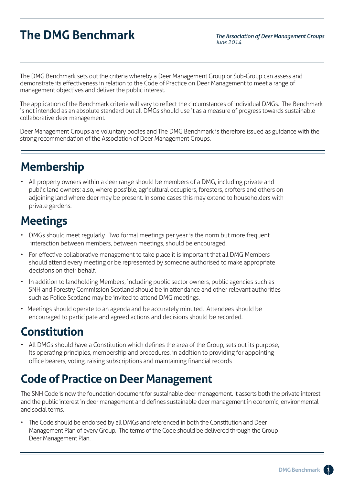# **The DMG Benchmark**

*The Association of Deer Management Groups June 2014*

The DMG Benchmark sets out the criteria whereby a Deer Management Group or Sub-Group can assess and demonstrate its effectiveness in relation to the Code of Practice on Deer Management to meet a range of management objectives and deliver the public interest.

The application of the Benchmark criteria will vary to reflect the circumstances of individual DMGs. The Benchmark is not intended as an absolute standard but all DMGs should use it as a measure of progress towards sustainable collaborative deer management.

Deer Management Groups are voluntary bodies and The DMG Benchmark is therefore issued as guidance with the strong recommendation of the Association of Deer Management Groups.

# **Membership**

• All property owners within a deer range should be members of a DMG, including private and public land owners; also, where possible, agricultural occupiers, foresters, crofters and others on adjoining land where deer may be present. In some cases this may extend to householders with private gardens.

### **Meetings**

- DMGs should meet regularly. Two formal meetings per year is the norm but more frequent interaction between members, between meetings, should be encouraged.
- For effective collaborative management to take place it is important that all DMG Members should attend every meeting or be represented by someone authorised to make appropriate decisions on their behalf.
- In addition to landholding Members, including public sector owners, public agencies such as SNH and Forestry Commission Scotland should be in attendance and other relevant authorities such as Police Scotland may be invited to attend DMG meetings.
- Meetings should operate to an agenda and be accurately minuted. Attendees should be encouraged to participate and agreed actions and decisions should be recorded.

# **Constitution**

• All DMGs should have a Constitution which defines the area of the Group, sets out its purpose, its operating principles, membership and procedures, in addition to providing for appointing office bearers, voting, raising subscriptions and maintaining financial records

### **Code of Practice on Deer Management**

The SNH Code is now the foundation document for sustainable deer management. It asserts both the private interest and the public interest in deer management and defines sustainable deer management in economic, environmental and social terms.

• The Code should be endorsed by all DMGs and referenced in both the Constitution and Deer Management Plan of every Group. The terms of the Code should be delivered through the Group Deer Management Plan.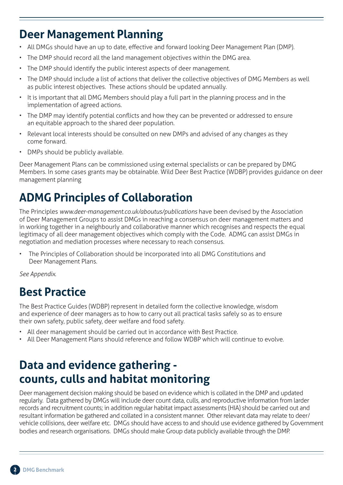### **Deer Management Planning**

- All DMGs should have an up to date, effective and forward looking Deer Management Plan (DMP).
- The DMP should record all the land management objectives within the DMG area.
- The DMP should identify the public interest aspects of deer management.
- The DMP should include a list of actions that deliver the collective objectives of DMG Members as well as public interest objectives. These actions should be updated annually.
- It is important that all DMG Members should play a full part in the planning process and in the implementation of agreed actions.
- The DMP may identify potential conflicts and how they can be prevented or addressed to ensure an equitable approach to the shared deer population.
- Relevant local interests should be consulted on new DMPs and advised of any changes as they come forward.
- DMPs should be publicly available.

Deer Management Plans can be commissioned using external specialists or can be prepared by DMG Members. In some cases grants may be obtainable. Wild Deer Best Practice (WDBP) provides guidance on deer management planning

# **ADMG Principles of Collaboration**

The Principles *www.deer-management.co.uk/aboutus/publications* have been devised by the Association of Deer Management Groups to assist DMGs in reaching a consensus on deer management matters and in working together in a neighbourly and collaborative manner which recognises and respects the equal legitimacy of all deer management objectives which comply with the Code. ADMG can assist DMGs in negotiation and mediation processes where necessary to reach consensus.

• The Principles of Collaboration should be incorporated into all DMG Constitutions and Deer Management Plans.

*See Appendix.*

### **Best Practice**

The Best Practice Guides (WDBP) represent in detailed form the collective knowledge, wisdom and experience of deer managers as to how to carry out all practical tasks safely so as to ensure their own safety, public safety, deer welfare and food safety.

- All deer management should be carried out in accordance with Best Practice.
- All Deer Management Plans should reference and follow WDBP which will continue to evolve.

# **Data and evidence gathering counts, culls and habitat monitoring**

Deer management decision making should be based on evidence which is collated in the DMP and updated regularly. Data gathered by DMGs will include deer count data, culls, and reproductive information from larder records and recruitment counts; in addition regular habitat impact assessments (HIA) should be carried out and resultant information be gathered and collated in a consistent manner. Other relevant data may relate to deer/ vehicle collisions, deer welfare etc. DMGs should have access to and should use evidence gathered by Government bodies and research organisations. DMGs should make Group data publicly available through the DMP.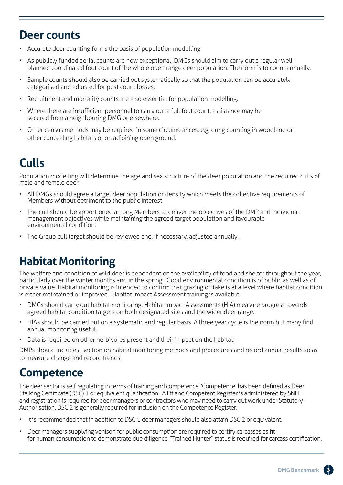### **Deer counts**

- Accurate deer counting forms the basis of population modelling.
- As publicly funded aerial counts are now exceptional, DMGs should aim to carry out a regular well planned coordinated foot count of the whole open range deer population. The norm is to count annually.
- Sample counts should also be carried out systematically so that the population can be accurately categorised and adjusted for post count losses.
- Recruitment and mortality counts are also essential for population modelling.
- Where there are insufficient personnel to carry out a full foot count, assistance may be secured from a neighbouring DMG or elsewhere.
- Other census methods may be required in some circumstances, e.g. dung counting in woodland or other concealing habitats or on adjoining open ground.

# **Culls**

Population modelling will determine the age and sex structure of the deer population and the required culls of male and female deer.

- All DMGs should agree a target deer population or density which meets the collective requirements of Members without detriment to the public interest.
- The cull should be apportioned among Members to deliver the objectives of the DMP and individual management objectives while maintaining the agreed target population and favourable environmental condition.
- The Group cull target should be reviewed and, if necessary, adjusted annually.

# **Habitat Monitoring**

The welfare and condition of wild deer is dependent on the availability of food and shelter throughout the year, particularly over the winter months and in the spring. Good environmental condition is of public as well as of private value. Habitat monitoring is intended to confirm that grazing offtake is at a level where habitat condition is either maintained or improved. Habitat Impact Assessment training is available.

- DMGs should carry out habitat monitoring. Habitat Impact Assessments (HIA) measure progress towards agreed habitat condition targets on both designated sites and the wider deer range.
- HIAs should be carried out on a systematic and regular basis. A three year cycle is the norm but many find annual monitoring useful.
- Data is required on other herbivores present and their impact on the habitat.

DMPs should include a section on habitat monitoring methods and procedures and record annual results so as to measure change and record trends.

### **Competence**

The deer sector is self regulating in terms of training and competence. 'Competence' has been defined as Deer Stalking Certificate (DSC) 1 or equivalent qualification. A Fit and Competent Register is administered by SNH and registration is required for deer managers or contractors who may need to carry out work under Statutory Authorisation. DSC 2 is generally required for inclusion on the Competence Register.

- It is recommended that in addition to DSC 1 deer managers should also attain DSC 2 or equivalent.
- Deer managers supplying venison for public consumption are required to certify carcasses as fit for human consumption to demonstrate due diligence. "Trained Hunter" status is required for carcass certification.